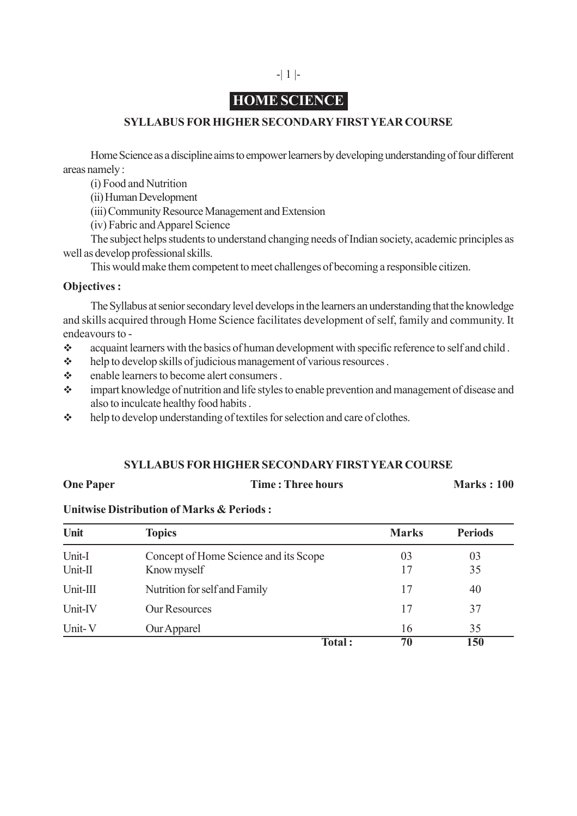# **HOME SCIENCE**

# **SYLLABUS FOR HIGHER SECONDARY FIRST YEAR COURSE**

Home Science as a discipline aims to empower learners by developing understanding of four different areas namely :

(i) Food and Nutrition

(ii) Human Development

(iii) Community Resource Management and Extension

(iv) Fabric and Apparel Science

The subject helps students to understand changing needs of Indian society, academic principles as well as develop professional skills.

This would make them competent to meet challenges of becoming a responsible citizen.

# **Objectives :**

The Syllabus at senior secondary level develops in the learners an understanding that the knowledge and skills acquired through Home Science facilitates development of self, family and community. It endeavours to -

- acquaint learners with the basics of human development with specific reference to self and child .
- help to develop skills of judicious management of various resources .
- A enable learners to become alert consumers.
- impart knowledge of nutrition and life styles to enable prevention and management of disease and also to inculcate healthy food habits .
- help to develop understanding of textiles for selection and care of clothes.

## **SYLLABUS FOR HIGHER SECONDARY FIRST YEAR COURSE**

## **One Paper** Time : Three hours **Marks** : 100

## **Unitwise Distribution of Marks & Periods :**

| Unit              | <b>Topics</b>                                        | <b>Marks</b> | <b>Periods</b> |
|-------------------|------------------------------------------------------|--------------|----------------|
| Unit-I<br>Unit-II | Concept of Home Science and its Scope<br>Know myself | 03           | 03<br>35       |
| Unit-III          | Nutrition for self and Family                        | 17           | 40             |
| Unit-IV           | <b>Our Resources</b>                                 | 17           | 37             |
| Unit-V            | Our Apparel                                          | 16           | 35             |
|                   | Total:                                               | 70           | 150            |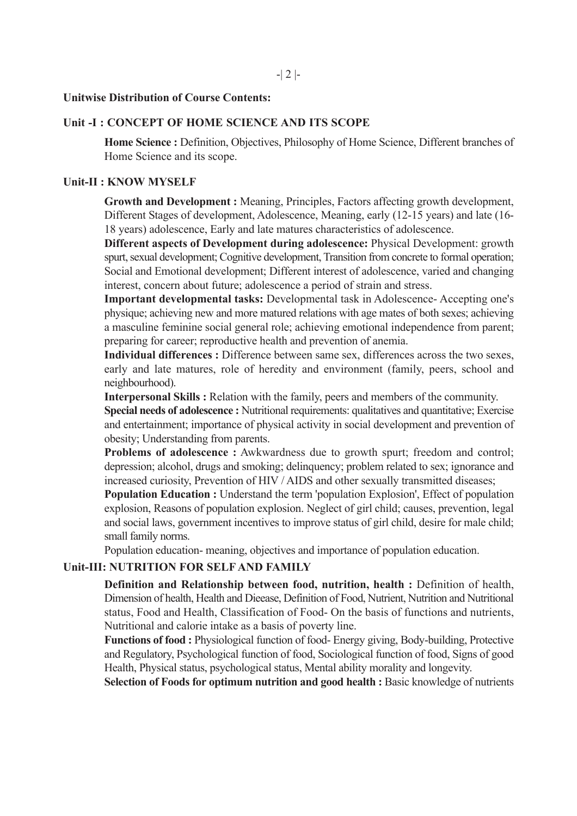#### **Unitwise Distribution of Course Contents:**

#### **Unit -I : CONCEPT OF HOME SCIENCE AND ITS SCOPE**

**Home Science :** Definition, Objectives, Philosophy of Home Science, Different branches of Home Science and its scope.

#### **Unit-II : KNOW MYSELF**

**Growth and Development :** Meaning, Principles, Factors affecting growth development, Different Stages of development, Adolescence, Meaning, early (12-15 years) and late (16- 18 years) adolescence, Early and late matures characteristics of adolescence.

**Different aspects of Development during adolescence:** Physical Development: growth spurt, sexual development; Cognitive development, Transition from concrete to formal operation; Social and Emotional development; Different interest of adolescence, varied and changing interest, concern about future; adolescence a period of strain and stress.

**Important developmental tasks:** Developmental task in Adolescence- Accepting one's physique; achieving new and more matured relations with age mates of both sexes; achieving a masculine feminine social general role; achieving emotional independence from parent; preparing for career; reproductive health and prevention of anemia.

**Individual differences :** Difference between same sex, differences across the two sexes, early and late matures, role of heredity and environment (family, peers, school and neighbourhood).

**Interpersonal Skills :** Relation with the family, peers and members of the community.

**Special needs of adolescence :** Nutritional requirements: qualitatives and quantitative: Exercise and entertainment; importance of physical activity in social development and prevention of obesity; Understanding from parents.

**Problems of adolescence :** Awkwardness due to growth spurt; freedom and control; depression; alcohol, drugs and smoking; delinquency; problem related to sex; ignorance and increased curiosity, Prevention of HIV / AIDS and other sexually transmitted diseases;

**Population Education :** Understand the term 'population Explosion', Effect of population explosion, Reasons of population explosion. Neglect of girl child; causes, prevention, legal and social laws, government incentives to improve status of girl child, desire for male child; small family norms.

Population education- meaning, objectives and importance of population education.

# **Unit-III: NUTRITION FOR SELF AND FAMILY**

**Definition and Relationship between food, nutrition, health :** Definition of health, Dimension of health, Health and Dieease, Definition of Food, Nutrient, Nutrition and Nutritional status, Food and Health, Classification of Food- On the basis of functions and nutrients, Nutritional and calorie intake as a basis of poverty line.

**Functions of food :** Physiological function of food- Energy giving, Body-building, Protective and Regulatory, Psychological function of food, Sociological function of food, Signs of good Health, Physical status, psychological status, Mental ability morality and longevity.

**Selection of Foods for optimum nutrition and good health :** Basic knowledge of nutrients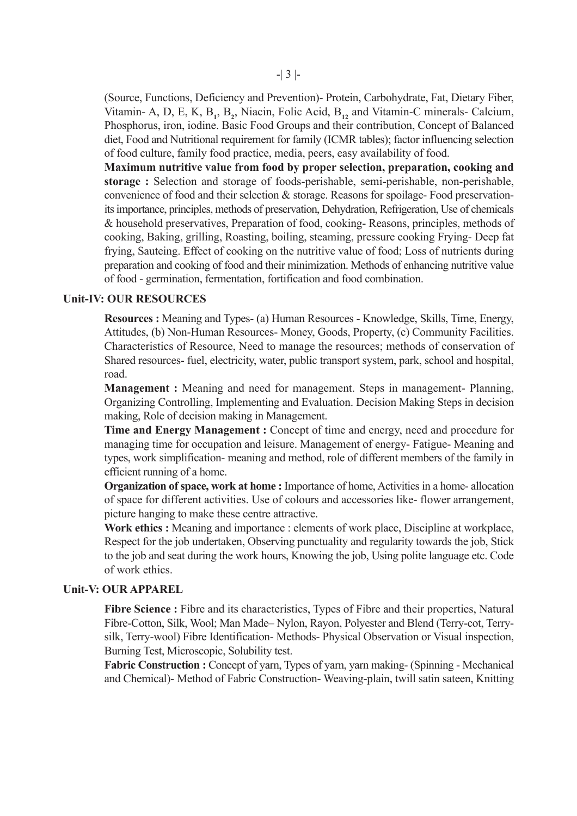(Source, Functions, Deficiency and Prevention)- Protein, Carbohydrate, Fat, Dietary Fiber, Vitamin- A, D, E, K, B<sub>1</sub>, B<sub>2</sub>, Niacin, Folic Acid, B<sub>12</sub> and Vitamin-C minerals- Calcium, Phosphorus, iron, iodine. Basic Food Groups and their contribution, Concept of Balanced diet, Food and Nutritional requirement for family (ICMR tables); factor influencing selection of food culture, family food practice, media, peers, easy availability of food.

**Maximum nutritive value from food by proper selection, preparation, cooking and storage :** Selection and storage of foods-perishable, semi-perishable, non-perishable, convenience of food and their selection & storage. Reasons for spoilage- Food preservationits importance, principles, methods of preservation, Dehydration, Refrigeration, Use of chemicals & household preservatives, Preparation of food, cooking- Reasons, principles, methods of cooking, Baking, grilling, Roasting, boiling, steaming, pressure cooking Frying- Deep fat frying, Sauteing. Effect of cooking on the nutritive value of food; Loss of nutrients during preparation and cooking of food and their minimization. Methods of enhancing nutritive value of food - germination, fermentation, fortification and food combination.

## **Unit-IV: OUR RESOURCES**

**Resources :** Meaning and Types- (a) Human Resources - Knowledge, Skills, Time, Energy, Attitudes, (b) Non-Human Resources- Money, Goods, Property, (c) Community Facilities. Characteristics of Resource, Need to manage the resources; methods of conservation of Shared resources- fuel, electricity, water, public transport system, park, school and hospital, road.

**Management :** Meaning and need for management. Steps in management- Planning, Organizing Controlling, Implementing and Evaluation. Decision Making Steps in decision making, Role of decision making in Management.

**Time and Energy Management :** Concept of time and energy, need and procedure for managing time for occupation and leisure. Management of energy- Fatigue- Meaning and types, work simplification- meaning and method, role of different members of the family in efficient running of a home.

**Organization of space, work at home :** Importance of home, Activities in a home- allocation of space for different activities. Use of colours and accessories like- flower arrangement, picture hanging to make these centre attractive.

Work ethics : Meaning and importance : elements of work place, Discipline at workplace, Respect for the job undertaken, Observing punctuality and regularity towards the job, Stick to the job and seat during the work hours, Knowing the job, Using polite language etc. Code of work ethics.

#### **Unit-V: OUR APPAREL**

**Fibre Science :** Fibre and its characteristics, Types of Fibre and their properties, Natural Fibre-Cotton, Silk, Wool; Man Made– Nylon, Rayon, Polyester and Blend (Terry-cot, Terrysilk, Terry-wool) Fibre Identification- Methods- Physical Observation or Visual inspection, Burning Test, Microscopic, Solubility test.

**Fabric Construction :** Concept of yarn, Types of yarn, yarn making- (Spinning - Mechanical and Chemical)- Method of Fabric Construction- Weaving-plain, twill satin sateen, Knitting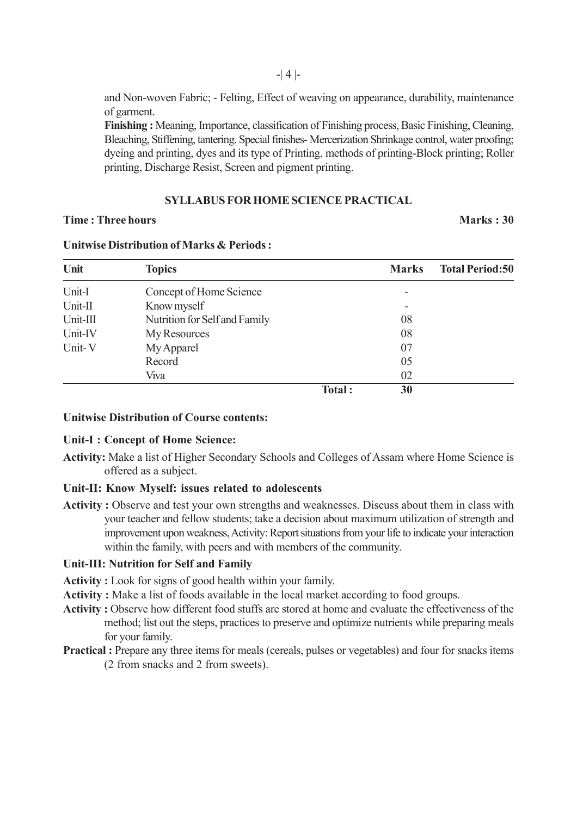and Non-woven Fabric; - Felting, Effect of weaving on appearance, durability, maintenance of garment.

**Finishing :** Meaning, Importance, classification of Finishing process, Basic Finishing, Cleaning, Bleaching, Stiffening, tantering. Special finishes- Mercerization Shrinkage control, water proofing; dyeing and printing, dyes and its type of Printing, methods of printing-Block printing; Roller printing, Discharge Resist, Screen and pigment printing.

## **SYLLABUS FOR HOME SCIENCE PRACTICAL**

## **Time : Three hours Marks : 30**

| Unit     | <b>Topics</b>                 |        | <b>Marks</b> | <b>Total Period:50</b> |
|----------|-------------------------------|--------|--------------|------------------------|
| Unit-I   | Concept of Home Science       |        |              |                        |
| Unit-II  | Know myself                   |        |              |                        |
| Unit-III | Nutrition for Self and Family |        | 08           |                        |
| Unit-IV  | My Resources                  |        | 08           |                        |
| Unit-V   | My Apparel                    |        | 07           |                        |
|          | Record                        |        | 05           |                        |
|          | Viva                          |        | 02           |                        |
|          |                               | Total: | 30           |                        |

#### **Unitwise Distribution of Marks & Periods :**

## **Unitwise Distribution of Course contents:**

#### **Unit-I : Concept of Home Science:**

**Activity:** Make a list of Higher Secondary Schools and Colleges of Assam where Home Science is offered as a subject.

## **Unit-II: Know Myself: issues related to adolescents**

Activity : Observe and test your own strengths and weaknesses. Discuss about them in class with your teacher and fellow students; take a decision about maximum utilization of strength and improvement upon weakness, Activity: Report situations from your life to indicate your interaction within the family, with peers and with members of the community.

## **Unit-III: Nutrition for Self and Family**

- **Activity :** Look for signs of good health within your family.
- **Activity :** Make a list of foods available in the local market according to food groups.
- **Activity :** Observe how different food stuffs are stored at home and evaluate the effectiveness of the method; list out the steps, practices to preserve and optimize nutrients while preparing meals for your family.
- **Practical :** Prepare any three items for meals (cereals, pulses or vegetables) and four for snacks items (2 from snacks and 2 from sweets).